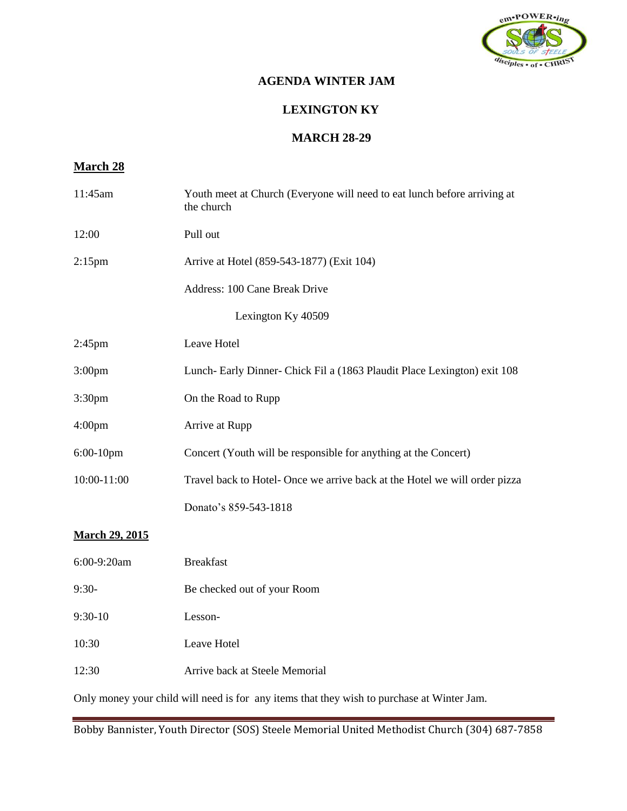

# **AGENDA WINTER JAM**

### **LEXINGTON KY**

#### **MARCH 28-29**

# **March 28**

| 11:45am                                                                                    | Youth meet at Church (Everyone will need to eat lunch before arriving at<br>the church |  |  |  |
|--------------------------------------------------------------------------------------------|----------------------------------------------------------------------------------------|--|--|--|
| 12:00                                                                                      | Pull out                                                                               |  |  |  |
| $2:15$ pm                                                                                  | Arrive at Hotel (859-543-1877) (Exit 104)                                              |  |  |  |
|                                                                                            | Address: 100 Cane Break Drive                                                          |  |  |  |
| Lexington Ky 40509                                                                         |                                                                                        |  |  |  |
| $2:45$ pm                                                                                  | Leave Hotel                                                                            |  |  |  |
| 3:00 <sub>pm</sub>                                                                         | Lunch-Early Dinner-Chick Fil a (1863 Plaudit Place Lexington) exit 108                 |  |  |  |
| 3:30 <sub>pm</sub>                                                                         | On the Road to Rupp                                                                    |  |  |  |
| 4:00 <sub>pm</sub>                                                                         | Arrive at Rupp                                                                         |  |  |  |
| 6:00-10pm                                                                                  | Concert (Youth will be responsible for anything at the Concert)                        |  |  |  |
| 10:00-11:00                                                                                | Travel back to Hotel- Once we arrive back at the Hotel we will order pizza             |  |  |  |
|                                                                                            | Donato's 859-543-1818                                                                  |  |  |  |
| <b>March 29, 2015</b>                                                                      |                                                                                        |  |  |  |
| 6:00-9:20am                                                                                | <b>Breakfast</b>                                                                       |  |  |  |
| $9:30-$                                                                                    | Be checked out of your Room                                                            |  |  |  |
| $9:30-10$                                                                                  | Lesson-                                                                                |  |  |  |
| 10:30                                                                                      | Leave Hotel                                                                            |  |  |  |
| 12:30                                                                                      | Arrive back at Steele Memorial                                                         |  |  |  |
| Only money your child will need is for any items that they wish to purchase at Winter Jam. |                                                                                        |  |  |  |

Bobby Bannister, Youth Director (SOS) Steele Memorial United Methodist Church (304) 687-7858